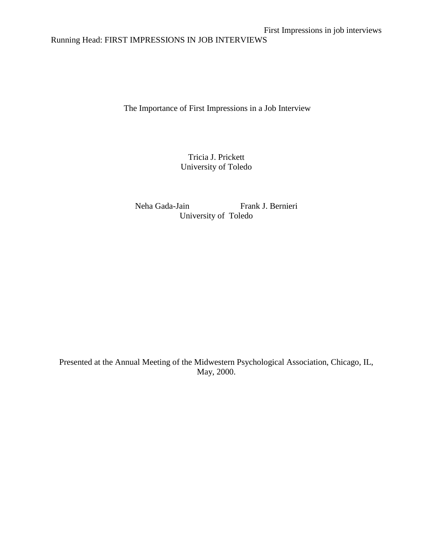Running Head: FIRST IMPRESSIONS IN JOB INTERVIEWS

The Importance of First Impressions in a Job Interview

Tricia J. Prickett University of Toledo

Neha Gada-Jain Frank J. Bernieri University of Toledo

Presented at the Annual Meeting of the Midwestern Psychological Association, Chicago, IL, May, 2000.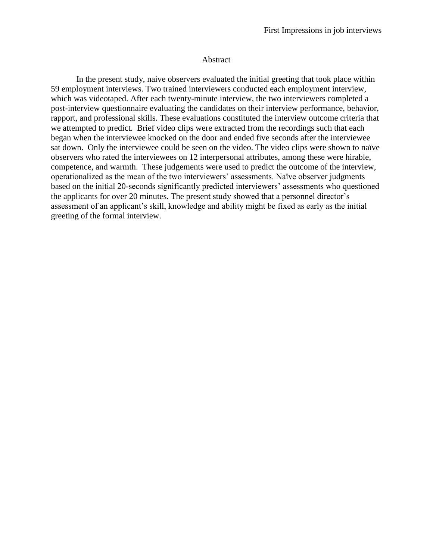#### Abstract

In the present study, naive observers evaluated the initial greeting that took place within 59 employment interviews. Two trained interviewers conducted each employment interview, which was videotaped. After each twenty-minute interview, the two interviewers completed a post-interview questionnaire evaluating the candidates on their interview performance, behavior, rapport, and professional skills. These evaluations constituted the interview outcome criteria that we attempted to predict. Brief video clips were extracted from the recordings such that each began when the interviewee knocked on the door and ended five seconds after the interviewee sat down. Only the interviewee could be seen on the video. The video clips were shown to naïve observers who rated the interviewees on 12 interpersonal attributes, among these were hirable, competence, and warmth. These judgements were used to predict the outcome of the interview, operationalized as the mean of the two interviewers' assessments. Naïve observer judgments based on the initial 20-seconds significantly predicted interviewers' assessments who questioned the applicants for over 20 minutes. The present study showed that a personnel director's assessment of an applicant's skill, knowledge and ability might be fixed as early as the initial greeting of the formal interview.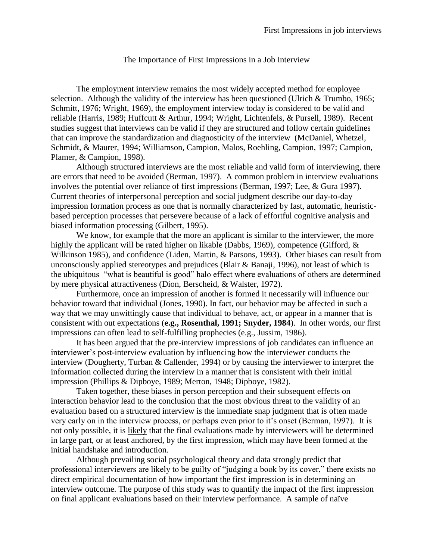### The Importance of First Impressions in a Job Interview

The employment interview remains the most widely accepted method for employee selection. Although the validity of the interview has been questioned (Ulrich & Trumbo, 1965; Schmitt, 1976; Wright, 1969), the employment interview today is considered to be valid and reliable (Harris, 1989; Huffcutt & Arthur, 1994; Wright, Lichtenfels, & Pursell, 1989). Recent studies suggest that interviews can be valid if they are structured and follow certain guidelines that can improve the standardization and diagnosticity of the interview (McDaniel, Whetzel, Schmidt, & Maurer, 1994; Williamson, Campion, Malos, Roehling, Campion, 1997; Campion, Plamer, & Campion, 1998).

Although structured interviews are the most reliable and valid form of interviewing, there are errors that need to be avoided (Berman, 1997). A common problem in interview evaluations involves the potential over reliance of first impressions (Berman, 1997; Lee, & Gura 1997). Current theories of interpersonal perception and social judgment describe our day-to-day impression formation process as one that is normally characterized by fast, automatic, heuristicbased perception processes that persevere because of a lack of effortful cognitive analysis and biased information processing (Gilbert, 1995).

We know, for example that the more an applicant is similar to the interviewer, the more highly the applicant will be rated higher on likable (Dabbs, 1969), competence (Gifford, & Wilkinson 1985), and confidence (Liden, Martin, & Parsons, 1993). Other biases can result from unconsciously applied stereotypes and prejudices (Blair & Banaji, 1996), not least of which is the ubiquitous "what is beautiful is good" halo effect where evaluations of others are determined by mere physical attractiveness (Dion, Berscheid, & Walster, 1972).

Furthermore, once an impression of another is formed it necessarily will influence our behavior toward that individual (Jones, 1990). In fact, our behavior may be affected in such a way that we may unwittingly cause that individual to behave, act, or appear in a manner that is consistent with out expectations (**e.g., Rosenthal, 1991; Snyder, 1984**). In other words, our first impressions can often lead to self-fulfilling prophecies (e.g., Jussim, 1986).

It has been argued that the pre-interview impressions of job candidates can influence an interviewer's post-interview evaluation by influencing how the interviewer conducts the interview (Dougherty, Turban & Callender, 1994) or by causing the interviewer to interpret the information collected during the interview in a manner that is consistent with their initial impression (Phillips & Dipboye, 1989; Merton, 1948; Dipboye, 1982).

Taken together, these biases in person perception and their subsequent effects on interaction behavior lead to the conclusion that the most obvious threat to the validity of an evaluation based on a structured interview is the immediate snap judgment that is often made very early on in the interview process, or perhaps even prior to it's onset (Berman, 1997). It is not only possible, it is likely that the final evaluations made by interviewers will be determined in large part, or at least anchored, by the first impression, which may have been formed at the initial handshake and introduction.

Although prevailing social psychological theory and data strongly predict that professional interviewers are likely to be guilty of "judging a book by its cover," there exists no direct empirical documentation of how important the first impression is in determining an interview outcome. The purpose of this study was to quantify the impact of the first impression on final applicant evaluations based on their interview performance. A sample of naïve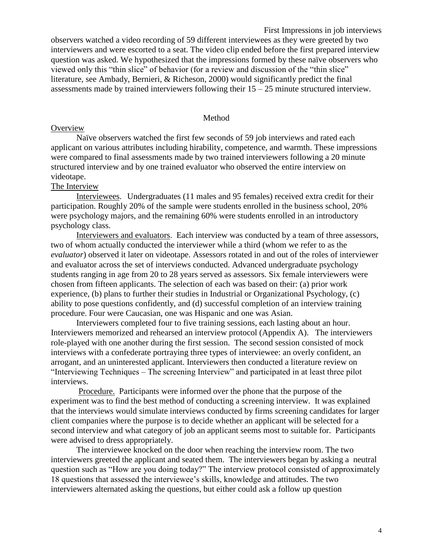First Impressions in job interviews observers watched a video recording of 59 different interviewees as they were greeted by two interviewers and were escorted to a seat. The video clip ended before the first prepared interview question was asked. We hypothesized that the impressions formed by these naïve observers who viewed only this "thin slice" of behavior (for a review and discussion of the "thin slice" literature, see Ambady, Bernieri, & Richeson, 2000) would significantly predict the final assessments made by trained interviewers following their  $15 - 25$  minute structured interview.

#### Method

### **Overview**

Naïve observers watched the first few seconds of 59 job interviews and rated each applicant on various attributes including hirability, competence, and warmth. These impressions were compared to final assessments made by two trained interviewers following a 20 minute structured interview and by one trained evaluator who observed the entire interview on videotape.

### The Interview

Interviewees. Undergraduates (11 males and 95 females) received extra credit for their participation. Roughly 20% of the sample were students enrolled in the business school, 20% were psychology majors, and the remaining 60% were students enrolled in an introductory psychology class.

Interviewers and evaluators. Each interview was conducted by a team of three assessors, two of whom actually conducted the interviewer while a third (whom we refer to as the *evaluator*) observed it later on videotape. Assessors rotated in and out of the roles of interviewer and evaluator across the set of interviews conducted. Advanced undergraduate psychology students ranging in age from 20 to 28 years served as assessors. Six female interviewers were chosen from fifteen applicants. The selection of each was based on their: (a) prior work experience, (b) plans to further their studies in Industrial or Organizational Psychology, (c) ability to pose questions confidently, and (d) successful completion of an interview training procedure. Four were Caucasian, one was Hispanic and one was Asian.

Interviewers completed four to five training sessions, each lasting about an hour. Interviewers memorized and rehearsed an interview protocol (Appendix A). The interviewers role-played with one another during the first session. The second session consisted of mock interviews with a confederate portraying three types of interviewee: an overly confident, an arrogant, and an uninterested applicant. Interviewers then conducted a literature review on "Interviewing Techniques – The screening Interview" and participated in at least three pilot interviews.

Procedure. Participants were informed over the phone that the purpose of the experiment was to find the best method of conducting a screening interview. It was explained that the interviews would simulate interviews conducted by firms screening candidates for larger client companies where the purpose is to decide whether an applicant will be selected for a second interview and what category of job an applicant seems most to suitable for. Participants were advised to dress appropriately.

The interviewee knocked on the door when reaching the interview room. The two interviewers greeted the applicant and seated them. The interviewers began by asking a neutral question such as "How are you doing today?" The interview protocol consisted of approximately 18 questions that assessed the interviewee's skills, knowledge and attitudes. The two interviewers alternated asking the questions, but either could ask a follow up question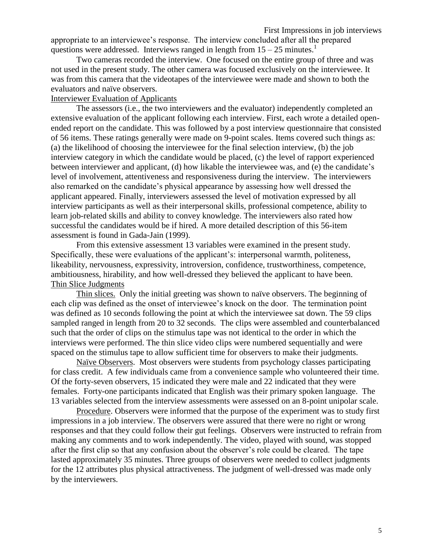appropriate to an interviewee's response. The interview concluded after all the prepared questions were addressed. Interviews ranged in length from  $15 - 25$  minutes.<sup>1</sup>

Two cameras recorded the interview. One focused on the entire group of three and was not used in the present study. The other camera was focused exclusively on the interviewee. It was from this camera that the videotapes of the interviewee were made and shown to both the evaluators and naïve observers.

### Interviewer Evaluation of Applicants

The assessors (i.e., the two interviewers and the evaluator) independently completed an extensive evaluation of the applicant following each interview. First, each wrote a detailed openended report on the candidate. This was followed by a post interview questionnaire that consisted of 56 items. These ratings generally were made on 9-point scales. Items covered such things as: (a) the likelihood of choosing the interviewee for the final selection interview, (b) the job interview category in which the candidate would be placed, (c) the level of rapport experienced between interviewer and applicant, (d) how likable the interviewee was, and (e) the candidate's level of involvement, attentiveness and responsiveness during the interview. The interviewers also remarked on the candidate's physical appearance by assessing how well dressed the applicant appeared. Finally, interviewers assessed the level of motivation expressed by all interview participants as well as their interpersonal skills, professional competence, ability to learn job-related skills and ability to convey knowledge. The interviewers also rated how successful the candidates would be if hired. A more detailed description of this 56-item assessment is found in Gada-Jain (1999).

From this extensive assessment 13 variables were examined in the present study. Specifically, these were evaluations of the applicant's: interpersonal warmth, politeness, likeability, nervousness, expressivity, introversion, confidence, trustworthiness, competence, ambitiousness, hirability, and how well-dressed they believed the applicant to have been. Thin Slice Judgments

Thin slices. Only the initial greeting was shown to naïve observers. The beginning of each clip was defined as the onset of interviewee's knock on the door. The termination point was defined as 10 seconds following the point at which the interviewee sat down. The 59 clips sampled ranged in length from 20 to 32 seconds. The clips were assembled and counterbalanced such that the order of clips on the stimulus tape was not identical to the order in which the interviews were performed. The thin slice video clips were numbered sequentially and were spaced on the stimulus tape to allow sufficient time for observers to make their judgments.

Naïve Observers. Most observers were students from psychology classes participating for class credit. A few individuals came from a convenience sample who volunteered their time. Of the forty-seven observers, 15 indicated they were male and 22 indicated that they were females. Forty-one participants indicated that English was their primary spoken language. The 13 variables selected from the interview assessments were assessed on an 8-point unipolar scale.

Procedure. Observers were informed that the purpose of the experiment was to study first impressions in a job interview. The observers were assured that there were no right or wrong responses and that they could follow their gut feelings. Observers were instructed to refrain from making any comments and to work independently. The video, played with sound, was stopped after the first clip so that any confusion about the observer's role could be cleared. The tape lasted approximately 35 minutes. Three groups of observers were needed to collect judgments for the 12 attributes plus physical attractiveness. The judgment of well-dressed was made only by the interviewers.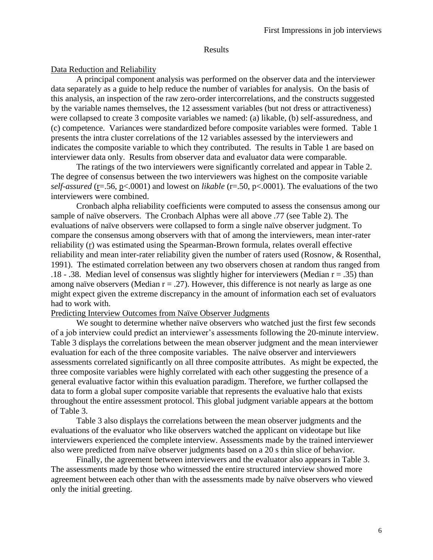#### Results

### Data Reduction and Reliability

A principal component analysis was performed on the observer data and the interviewer data separately as a guide to help reduce the number of variables for analysis. On the basis of this analysis, an inspection of the raw zero-order intercorrelations, and the constructs suggested by the variable names themselves, the 12 assessment variables (but not dress or attractiveness) were collapsed to create 3 composite variables we named: (a) likable, (b) self-assuredness, and (c) competence. Variances were standardized before composite variables were formed. Table 1 presents the intra cluster correlations of the 12 variables assessed by the interviewers and indicates the composite variable to which they contributed. The results in Table 1 are based on interviewer data only. Results from observer data and evaluator data were comparable.

The ratings of the two interviewers were significantly correlated and appear in Table 2. The degree of consensus between the two interviewers was highest on the composite variable *self-assured* (r=.56, p<.0001) and lowest on *likable* (r=.50, p<.0001). The evaluations of the two interviewers were combined.

Cronbach alpha reliability coefficients were computed to assess the consensus among our sample of naïve observers. The Cronbach Alphas were all above .77 (see Table 2). The evaluations of naïve observers were collapsed to form a single naïve observer judgment. To compare the consensus among observers with that of among the interviewers, mean inter-rater reliability (r) was estimated using the Spearman-Brown formula, relates overall effective reliability and mean inter-rater reliability given the number of raters used (Rosnow, & Rosenthal, 1991). The estimated correlation between any two observers chosen at random thus ranged from .18 - .38. Median level of consensus was slightly higher for interviewers (Median  $r = .35$ ) than among naïve observers (Median  $r = .27$ ). However, this difference is not nearly as large as one might expect given the extreme discrepancy in the amount of information each set of evaluators had to work with.

#### Predicting Interview Outcomes from Naïve Observer Judgments

We sought to determine whether naïve observers who watched just the first few seconds of a job interview could predict an interviewer's assessments following the 20-minute interview. Table 3 displays the correlations between the mean observer judgment and the mean interviewer evaluation for each of the three composite variables. The naïve observer and interviewers assessments correlated significantly on all three composite attributes. As might be expected, the three composite variables were highly correlated with each other suggesting the presence of a general evaluative factor within this evaluation paradigm. Therefore, we further collapsed the data to form a global super composite variable that represents the evaluative halo that exists throughout the entire assessment protocol. This global judgment variable appears at the bottom of Table 3.

Table 3 also displays the correlations between the mean observer judgments and the evaluations of the evaluator who like observers watched the applicant on videotape but like interviewers experienced the complete interview. Assessments made by the trained interviewer also were predicted from naïve observer judgments based on a 20 s thin slice of behavior.

Finally, the agreement between interviewers and the evaluator also appears in Table 3. The assessments made by those who witnessed the entire structured interview showed more agreement between each other than with the assessments made by naïve observers who viewed only the initial greeting.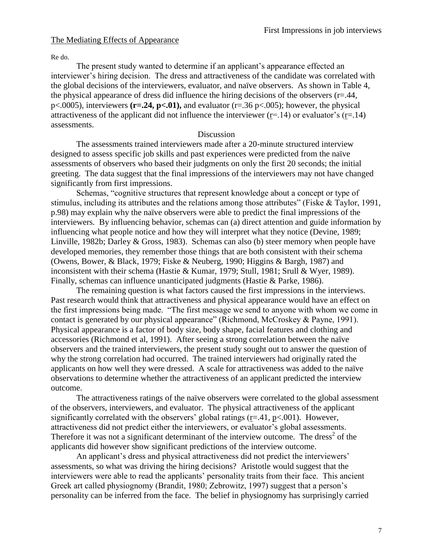## The Mediating Effects of Appearance

Re do.

The present study wanted to determine if an applicant's appearance effected an interviewer's hiring decision. The dress and attractiveness of the candidate was correlated with the global decisions of the interviewers, evaluator, and naïve observers. As shown in Table 4, the physical appearance of dress did influence the hiring decisions of the observers  $(r=0.44, r=0.44)$ p<.0005), interviewers **(r=.24, p<.01),** and evaluator (r=.36 p<.005); however, the physical attractiveness of the applicant did not influence the interviewer  $(r=14)$  or evaluator's  $(r=14)$ assessments.

### Discussion

The assessments trained interviewers made after a 20-minute structured interview designed to assess specific job skills and past experiences were predicted from the naïve assessments of observers who based their judgments on only the first 20 seconds; the initial greeting. The data suggest that the final impressions of the interviewers may not have changed significantly from first impressions.

Schemas, "cognitive structures that represent knowledge about a concept or type of stimulus, including its attributes and the relations among those attributes" (Fiske & Taylor, 1991, p.98) may explain why the naïve observers were able to predict the final impressions of the interviewers. By influencing behavior, schemas can (a) direct attention and guide information by influencing what people notice and how they will interpret what they notice (Devine, 1989; Linville, 1982b; Darley & Gross, 1983). Schemas can also (b) steer memory when people have developed memories, they remember those things that are both consistent with their schema (Owens, Bower, & Black, 1979; Fiske & Neuberg, 1990; Higgins & Bargh, 1987) and inconsistent with their schema (Hastie & Kumar, 1979; Stull, 1981; Srull & Wyer, 1989). Finally, schemas can influence unanticipated judgments (Hastie & Parke, 1986).

The remaining question is what factors caused the first impressions in the interviews. Past research would think that attractiveness and physical appearance would have an effect on the first impressions being made. "The first message we send to anyone with whom we come in contact is generated by our physical appearance" (Richmond, McCroskey & Payne, 1991). Physical appearance is a factor of body size, body shape, facial features and clothing and accessories (Richmond et al, 1991). After seeing a strong correlation between the naïve observers and the trained interviewers, the present study sought out to answer the question of why the strong correlation had occurred. The trained interviewers had originally rated the applicants on how well they were dressed. A scale for attractiveness was added to the naïve observations to determine whether the attractiveness of an applicant predicted the interview outcome.

The attractiveness ratings of the naïve observers were correlated to the global assessment of the observers, interviewers, and evaluator. The physical attractiveness of the applicant significantly correlated with the observers' global ratings  $(r=.41, p<.001)$ . However, attractiveness did not predict either the interviewers, or evaluator's global assessments. Therefore it was not a significant determinant of the interview outcome. The dress<sup>2</sup> of the applicants did however show significant predictions of the interview outcome.

An applicant's dress and physical attractiveness did not predict the interviewers' assessments, so what was driving the hiring decisions? Aristotle would suggest that the interviewers were able to read the applicants' personality traits from their face. This ancient Greek art called physiognomy (Brandit, 1980; Zebrowitz, 1997) suggest that a person's personality can be inferred from the face. The belief in physiognomy has surprisingly carried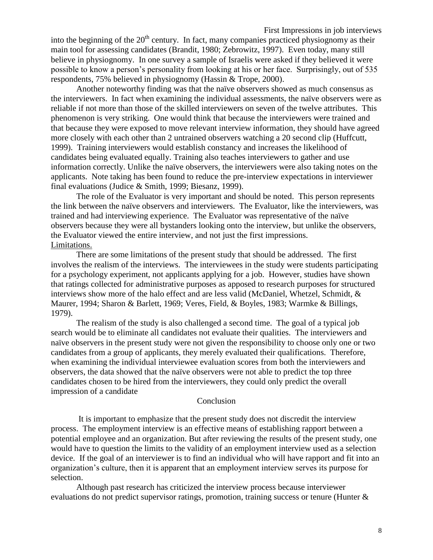First Impressions in job interviews into the beginning of the  $20<sup>th</sup>$  century. In fact, many companies practiced physiognomy as their main tool for assessing candidates (Brandit, 1980; Zebrowitz, 1997). Even today, many still believe in physiognomy. In one survey a sample of Israelis were asked if they believed it were possible to know a person's personality from looking at his or her face. Surprisingly, out of 535 respondents, 75% believed in physiognomy (Hassin & Trope, 2000).

Another noteworthy finding was that the naïve observers showed as much consensus as the interviewers. In fact when examining the individual assessments, the naïve observers were as reliable if not more than those of the skilled interviewers on seven of the twelve attributes. This phenomenon is very striking. One would think that because the interviewers were trained and that because they were exposed to move relevant interview information, they should have agreed more closely with each other than 2 untrained observers watching a 20 second clip (Huffcutt, 1999). Training interviewers would establish constancy and increases the likelihood of candidates being evaluated equally. Training also teaches interviewers to gather and use information correctly. Unlike the naïve observers, the interviewers were also taking notes on the applicants. Note taking has been found to reduce the pre-interview expectations in interviewer final evaluations (Judice & Smith, 1999; Biesanz, 1999).

The role of the Evaluator is very important and should be noted. This person represents the link between the naïve observers and interviewers. The Evaluator, like the interviewers, was trained and had interviewing experience. The Evaluator was representative of the naïve observers because they were all bystanders looking onto the interview, but unlike the observers, the Evaluator viewed the entire interview, and not just the first impressions. Limitations.

There are some limitations of the present study that should be addressed. The first involves the realism of the interviews. The interviewees in the study were students participating for a psychology experiment, not applicants applying for a job. However, studies have shown that ratings collected for administrative purposes as apposed to research purposes for structured interviews show more of the halo effect and are less valid (McDaniel, Whetzel, Schmidt, & Maurer, 1994; Sharon & Barlett, 1969; Veres, Field, & Boyles, 1983; Warmke & Billings, 1979).

The realism of the study is also challenged a second time. The goal of a typical job search would be to eliminate all candidates not evaluate their qualities. The interviewers and naïve observers in the present study were not given the responsibility to choose only one or two candidates from a group of applicants, they merely evaluated their qualifications. Therefore, when examining the individual interviewee evaluation scores from both the interviewers and observers, the data showed that the naïve observers were not able to predict the top three candidates chosen to be hired from the interviewers, they could only predict the overall impression of a candidate

#### Conclusion

It is important to emphasize that the present study does not discredit the interview process. The employment interview is an effective means of establishing rapport between a potential employee and an organization. But after reviewing the results of the present study, one would have to question the limits to the validity of an employment interview used as a selection device. If the goal of an interviewer is to find an individual who will have rapport and fit into an organization's culture, then it is apparent that an employment interview serves its purpose for selection.

Although past research has criticized the interview process because interviewer evaluations do not predict supervisor ratings, promotion, training success or tenure (Hunter &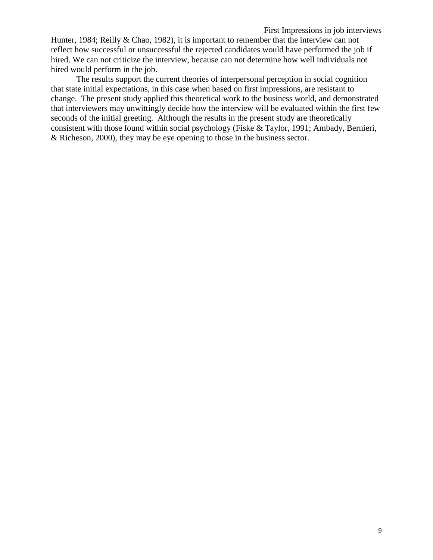Hunter, 1984; Reilly & Chao, 1982), it is important to remember that the interview can not reflect how successful or unsuccessful the rejected candidates would have performed the job if hired. We can not criticize the interview, because can not determine how well individuals not hired would perform in the job.

The results support the current theories of interpersonal perception in social cognition that state initial expectations, in this case when based on first impressions, are resistant to change. The present study applied this theoretical work to the business world, and demonstrated that interviewers may unwittingly decide how the interview will be evaluated within the first few seconds of the initial greeting. Although the results in the present study are theoretically consistent with those found within social psychology (Fiske & Taylor, 1991; Ambady, Bernieri, & Richeson, 2000), they may be eye opening to those in the business sector.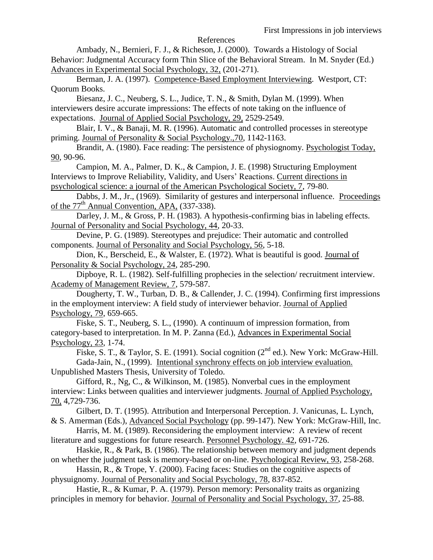#### References

Ambady, N., Bernieri, F. J., & Richeson, J. (2000). Towards a Histology of Social Behavior: Judgmental Accuracy form Thin Slice of the Behavioral Stream. In M. Snyder (Ed.) Advances in Experimental Social Psychology, 32, (201-271).

Berman, J. A. (1997). Competence-Based Employment Interviewing. Westport, CT: Quorum Books.

Biesanz, J. C., Neuberg, S. L., Judice, T. N., & Smith, Dylan M. (1999). When interviewers desire accurate impressions: The effects of note taking on the influence of expectations. Journal of Applied Social Psychology, 29, 2529-2549.

Blair, I. V., & Banaji, M. R. (1996). Automatic and controlled processes in stereotype priming. Journal of Personality & Social Psychology.,70, 1142-1163.

Brandit, A. (1980). Face reading: The persistence of physiognomy. Psychologist Today, 90, 90-96.

Campion, M. A., Palmer, D. K., & Campion, J. E. (1998) Structuring Employment Interviews to Improve Reliability, Validity, and Users' Reactions. Current directions in psychological science: a journal of the American Psychological Society, 7, 79-80.

Dabbs, J. M., Jr., (1969). Similarity of gestures and interpersonal influence. Proceedings of the 77<sup>th</sup> Annual Convention, APA, (337-338).

Darley, J. M., & Gross, P. H. (1983). A hypothesis-confirming bias in labeling effects. Journal of Personality and Social Psychology, 44, 20-33.

Devine, P. G. (1989). Stereotypes and prejudice: Their automatic and controlled components. Journal of Personality and Social Psychology, 56, 5-18.

Dion, K., Berscheid, E., & Walster, E. (1972). What is beautiful is good. Journal of Personality & Social Psychology, 24, 285-290.

Dipboye, R. L. (1982). Self-fulfilling prophecies in the selection/ recruitment interview. Academy of Management Review, 7, 579-587.

Dougherty, T. W., Turban, D. B., & Callender, J. C. (1994). Confirming first impressions in the employment interview: A field study of interviewer behavior. Journal of Applied Psychology, 79, 659-665.

Fiske, S. T., Neuberg, S. L., (1990). A continuum of impression formation, from category-based to interpretation. In M. P. Zanna (Ed.), Advances in Experimental Social Psychology, 23, 1-74.

Fiske, S. T., & Taylor, S. E. (1991). Social cognition  $(2^{nd}$  ed.). New York: McGraw-Hill. Gada-Jain, N., (1999). Intentional synchrony effects on job interview evaluation. Unpublished Masters Thesis, University of Toledo.

Gifford, R., Ng, C., & Wilkinson, M. (1985). Nonverbal cues in the employment interview: Links between qualities and interviewer judgments. Journal of Applied Psychology, 70, 4,729-736.

Gilbert, D. T. (1995). Attribution and Interpersonal Perception. J. Vanicunas, L. Lynch, & S. Amerman (Eds.), Advanced Social Psychology (pp. 99-147). New York: McGraw-Hill, Inc.

Harris, M. M. (1989). Reconsidering the employment interview: A review of recent literature and suggestions for future research. Personnel Psychology. 42, 691-726.

Haskie, R., & Park, B. (1986). The relationship between memory and judgment depends on whether the judgment task is memory-based or on-line. Psychological Review, 93, 258-268.

Hassin, R., & Trope, Y. (2000). Facing faces: Studies on the cognitive aspects of physuignomy. Journal of Personality and Social Psychology, 78, 837-852.

Hastie, R., & Kumar, P. A. (1979). Person memory: Personality traits as organizing principles in memory for behavior. Journal of Personality and Social Psychology, 37, 25-88.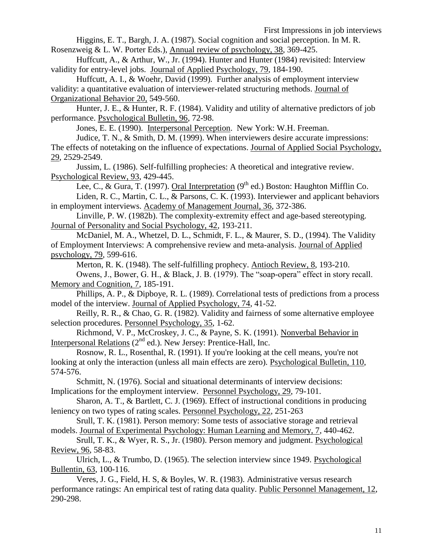First Impressions in job interviews

Higgins, E. T., Bargh, J. A. (1987). Social cognition and social perception. In M. R.

Rosenzweig & L. W. Porter Eds.), Annual review of psychology, 38, 369-425.

Huffcutt, A., & Arthur, W., Jr. (1994). Hunter and Hunter (1984) revisited: Interview validity for entry-level jobs. Journal of Applied Psychology, 79, 184-190.

Huffcutt, A. I., & Woehr, David (1999). Further analysis of employment interview validity: a quantitative evaluation of interviewer-related structuring methods. Journal of Organizational Behavior 20, 549-560.

Hunter, J. E., & Hunter, R. F. (1984). Validity and utility of alternative predictors of job performance. Psychological Bulletin, 96, 72-98.

Jones, E. E. (1990). Interpersonal Perception. New York: W.H. Freeman.

Judice, T. N., & Smith, D. M. (1999). When interviewers desire accurate impressions: The effects of notetaking on the influence of expectations. Journal of Applied Social Psychology, 29, 2529-2549.

Jussim, L. (1986). Self-fulfilling prophecies: A theoretical and integrative review. Psychological Review, 93, 429-445.

Lee, C., & Gura, T. (1997). Oral Interpretation ( $9<sup>th</sup>$  ed.) Boston: Haughton Mifflin Co. Liden, R. C., Martin, C. L., & Parsons, C. K. (1993). Interviewer and applicant behaviors in employment interviews. Academy of Management Journal, 36, 372-386.

Linville, P. W. (1982b). The complexity-extremity effect and age-based stereotyping. Journal of Personality and Social Psychology, 42, 193-211.

McDaniel, M. A., Whetzel, D. L., Schmidt, F. L., & Maurer, S. D., (1994). The Validity of Employment Interviews: A comprehensive review and meta-analysis. Journal of Applied psychology, 79, 599-616.

Merton, R. K. (1948). The self-fulfilling prophecy. Antioch Review, 8, 193-210. Owens, J., Bower, G. H., & Black, J. B. (1979). The "soap-opera" effect in story recall. Memory and Cognition, 7, 185-191.

Phillips, A. P., & Dipboye, R. L. (1989). Correlational tests of predictions from a process model of the interview. Journal of Applied Psychology, 74, 41-52.

Reilly, R. R., & Chao, G. R. (1982). Validity and fairness of some alternative employee selection procedures. Personnel Psychology, 35, 1-62.

Richmond, V. P., McCroskey, J. C., & Payne, S. K. (1991). Nonverbal Behavior in Interpersonal Relations  $(2^{nd}$  ed.). New Jersey: Prentice-Hall, Inc.

Rosnow, R. L., Rosenthal, R. (1991). If you're looking at the cell means, you're not looking at only the interaction (unless all main effects are zero). Psychological Bulletin, 110, 574-576.

Schmitt, N. (1976). Social and situational determinants of interview decisions: Implications for the employment interview. Personnel Psychology, 29, 79-101.

Sharon, A. T., & Bartlett, C. J. (1969). Effect of instructional conditions in producing leniency on two types of rating scales. Personnel Psychology, 22, 251-263

Srull, T. K. (1981). Person memory: Some tests of associative storage and retrieval models. Journal of Experimental Psychology: Human Learning and Memory, 7, 440-462.

Srull, T. K., & Wyer, R. S., Jr. (1980). Person memory and judgment. Psychological Review, 96, 58-83.

Ulrich, L., & Trumbo, D. (1965). The selection interview since 1949. Psychological Bullentin, 63, 100-116.

Veres, J. G., Field, H. S, & Boyles, W. R. (1983). Administrative versus research performance ratings: An empirical test of rating data quality. Public Personnel Management, 12, 290-298.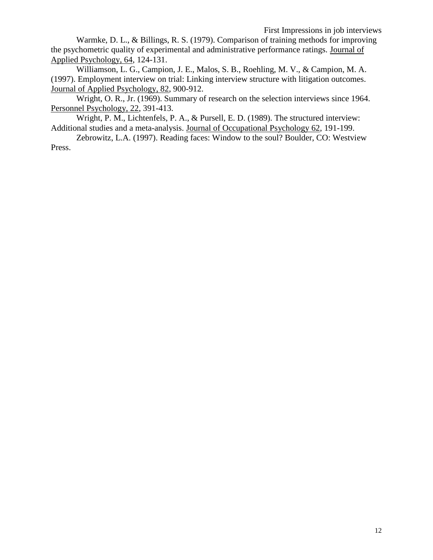Warmke, D. L., & Billings, R. S. (1979). Comparison of training methods for improving the psychometric quality of experimental and administrative performance ratings. Journal of Applied Psychology, 64, 124-131.

Williamson, L. G., Campion, J. E., Malos, S. B., Roehling, M. V., & Campion, M. A. (1997). Employment interview on trial: Linking interview structure with litigation outcomes. Journal of Applied Psychology, 82, 900-912.

Wright, O. R., Jr. (1969). Summary of research on the selection interviews since 1964. Personnel Psychology, 22, 391-413.

Wright, P. M., Lichtenfels, P. A., & Pursell, E. D. (1989). The structured interview: Additional studies and a meta-analysis. Journal of Occupational Psychology 62, 191-199.

Zebrowitz, L.A. (1997). Reading faces: Window to the soul? Boulder, CO: Westview Press.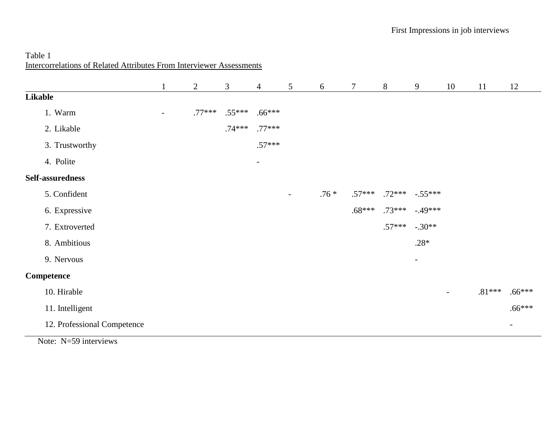# Table 1 Intercorrelations of Related Attributes From Interviewer Assessments

|                             |   | $\mathbf{2}$ | 3        | $\overline{4}$           | 5              | 6      | $\tau$   | 8                  | 9              | 10                       | 11       | 12       |
|-----------------------------|---|--------------|----------|--------------------------|----------------|--------|----------|--------------------|----------------|--------------------------|----------|----------|
| Likable                     |   |              |          |                          |                |        |          |                    |                |                          |          |          |
| 1. Warm                     | - | $.77***$     | $.55***$ | $.66***$                 |                |        |          |                    |                |                          |          |          |
| 2. Likable                  |   |              | $.74***$ | $.77***$                 |                |        |          |                    |                |                          |          |          |
| 3. Trustworthy              |   |              |          | $.57***$                 |                |        |          |                    |                |                          |          |          |
| 4. Polite                   |   |              |          | $\overline{\phantom{a}}$ |                |        |          |                    |                |                          |          |          |
| Self-assuredness            |   |              |          |                          |                |        |          |                    |                |                          |          |          |
| 5. Confident                |   |              |          |                          | $\blacksquare$ | $.76*$ | $.57***$ | $.72***$ $-.55***$ |                |                          |          |          |
| 6. Expressive               |   |              |          |                          |                |        | $.68***$ | $.73***$           | $-49***$       |                          |          |          |
| 7. Extroverted              |   |              |          |                          |                |        |          | $.57***$           | $-.30**$       |                          |          |          |
| 8. Ambitious                |   |              |          |                          |                |        |          |                    | $.28*$         |                          |          |          |
| 9. Nervous                  |   |              |          |                          |                |        |          |                    | $\blacksquare$ |                          |          |          |
| <b>Competence</b>           |   |              |          |                          |                |        |          |                    |                |                          |          |          |
| 10. Hirable                 |   |              |          |                          |                |        |          |                    |                | $\overline{\phantom{a}}$ | $.81***$ | $.66***$ |
| 11. Intelligent             |   |              |          |                          |                |        |          |                    |                |                          |          | $.66***$ |
| 12. Professional Competence |   |              |          |                          |                |        |          |                    |                |                          |          | $\sim$   |

Note: N=59 interviews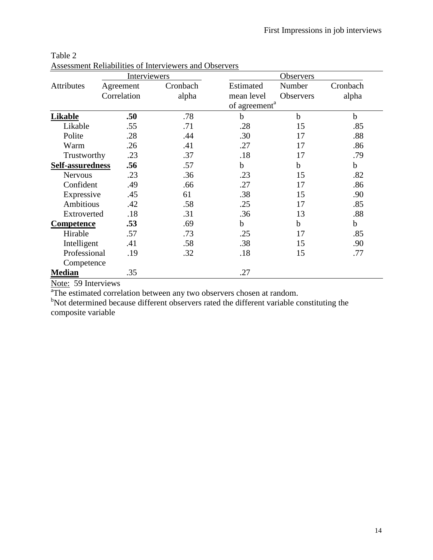|                   | Interviewers |          |                           |             |             |
|-------------------|--------------|----------|---------------------------|-------------|-------------|
| Attributes        | Agreement    | Cronbach | Estimated                 | Number      | Cronbach    |
|                   | Correlation  | alpha    | mean level                | Observers   | alpha       |
|                   |              |          | of agreement <sup>a</sup> |             |             |
| Likable           | .50          | .78      | b                         | $\mathbf b$ | $\mathbf b$ |
| Likable           | .55          | .71      | .28                       | 15          | .85         |
| Polite            | .28          | .44      | .30                       | 17          | .88         |
| Warm              | .26          | .41      | .27                       | 17          | .86         |
| Trustworthy       | .23          | .37      | .18                       | 17          | .79         |
| Self-assuredness  | .56          | .57      | $\mathbf b$               | b           | $\mathbf b$ |
| <b>Nervous</b>    | .23          | .36      | .23                       | 15          | .82         |
| Confident         | .49          | .66      | .27                       | 17          | .86         |
| Expressive        | .45          | 61       | .38                       | 15          | .90         |
| Ambitious         | .42          | .58      | .25                       | 17          | .85         |
| Extroverted       | .18          | .31      | .36                       | 13          | .88         |
| <b>Competence</b> | .53          | .69      | $\mathbf b$               | b           | $\mathbf b$ |
| Hirable           | .57          | .73      | .25                       | 17          | .85         |
| Intelligent       | .41          | .58      | .38                       | 15          | .90         |
| Professional      | .19          | .32      | .18                       | 15          | .77         |
| Competence        |              |          |                           |             |             |
| <b>Median</b>     | .35          |          | .27                       |             |             |

| Table 2                                                |  |
|--------------------------------------------------------|--|
| Assessment Reliabilities of Interviewers and Observers |  |

Note: 59 Interviews

<sup>a</sup>The estimated correlation between any two observers chosen at random.

bNot determined because different observers rated the different variable constituting the composite variable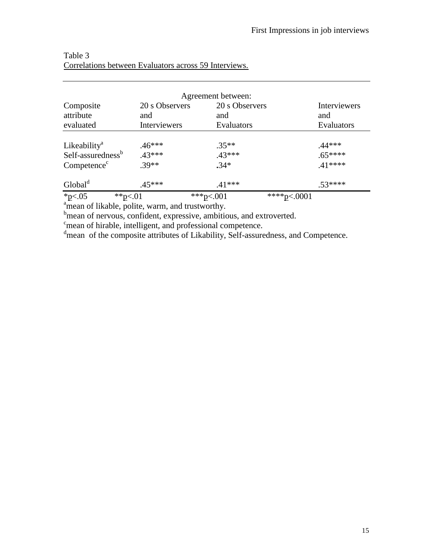|                                                                                      |                                       | Agreement between:                  |                                   |  |
|--------------------------------------------------------------------------------------|---------------------------------------|-------------------------------------|-----------------------------------|--|
| Composite<br>attribute<br>evaluated                                                  | 20 s Observers<br>and<br>Interviewers | 20 s Observers<br>and<br>Evaluators | Interviewers<br>and<br>Evaluators |  |
| Likeability <sup>a</sup><br>Self-assuredness <sup>b</sup><br>Competence <sup>c</sup> | $.46***$<br>.43***<br>$.39**$         | $.35**$<br>$.43***$<br>$.34*$       | $.44***$<br>$.65***$<br>$.41***$  |  |
| Global <sup>d</sup>                                                                  | $.45***$                              | $.41***$                            | $.53***$                          |  |
| *p $< 0.05$                                                                          | ** $p<.01$                            | ***p<.001                           | ****p<.0001                       |  |

## Table 3 Correlations between Evaluators across 59 Interviews.

<sup>a</sup>mean of likable, polite, warm, and trustworthy.

b<sub>mean of nervous, confident, expressive, ambitious, and extroverted.</sub>

 $c$ mean of hirable, intelligent, and professional competence.

<sup>d</sup>mean of the composite attributes of Likability, Self-assuredness, and Competence.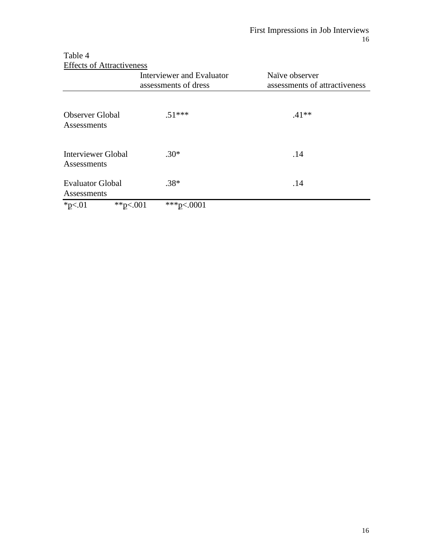| <b>Effects of Attractiveness</b>       |                                                   |                                                 |  |  |  |
|----------------------------------------|---------------------------------------------------|-------------------------------------------------|--|--|--|
|                                        | Interviewer and Evaluator<br>assessments of dress | Naïve observer<br>assessments of attractiveness |  |  |  |
| <b>Observer Global</b><br>Assessments  | $.51***$                                          | $.41**$                                         |  |  |  |
| Interviewer Global<br>Assessments      | $.30*$                                            | .14                                             |  |  |  |
| <b>Evaluator Global</b><br>Assessments | $.38*$                                            | .14                                             |  |  |  |
| $*p<.01$<br>**p<.001                   | ***p<.0001                                        |                                                 |  |  |  |

Table 4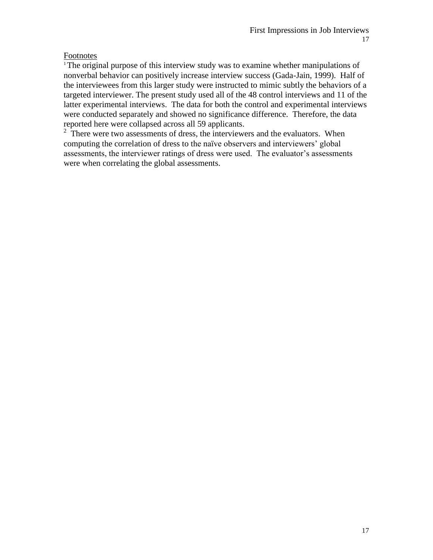## Footnotes

<sup>1</sup>The original purpose of this interview study was to examine whether manipulations of nonverbal behavior can positively increase interview success (Gada-Jain, 1999). Half of the interviewees from this larger study were instructed to mimic subtly the behaviors of a targeted interviewer. The present study used all of the 48 control interviews and 11 of the latter experimental interviews. The data for both the control and experimental interviews were conducted separately and showed no significance difference. Therefore, the data reported here were collapsed across all 59 applicants.

 $2\overline{ }$  There were two assessments of dress, the interviewers and the evaluators. When computing the correlation of dress to the naïve observers and interviewers' global assessments, the interviewer ratings of dress were used. The evaluator's assessments were when correlating the global assessments.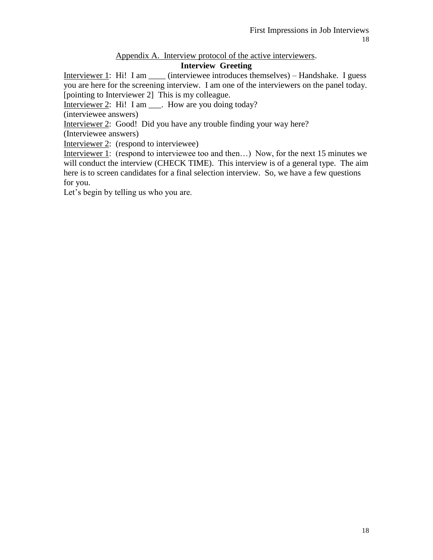## Appendix A. Interview protocol of the active interviewers.

## **Interview Greeting**

Interviewer 1: Hi! I am \_\_\_\_ (interviewee introduces themselves) – Handshake. I guess you are here for the screening interview. I am one of the interviewers on the panel today. [pointing to Interviewer 2] This is my colleague.

Interviewer 2: Hi! I am \_\_\_. How are you doing today?

(interviewee answers)

Interviewer 2: Good! Did you have any trouble finding your way here?

(Interviewee answers)

Interviewer 2: (respond to interviewee)

Interviewer 1: (respond to interviewee too and then...) Now, for the next 15 minutes we will conduct the interview (CHECK TIME). This interview is of a general type. The aim here is to screen candidates for a final selection interview. So, we have a few questions for you.

Let's begin by telling us who you are.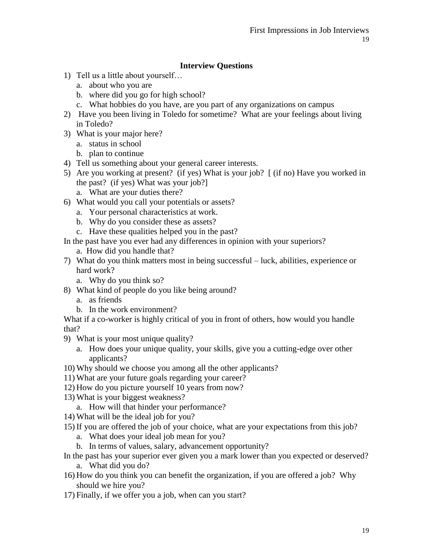## **Interview Questions**

- 1) Tell us a little about yourself…
	- a. about who you are
	- b. where did you go for high school?
	- c. What hobbies do you have, are you part of any organizations on campus
- 2) Have you been living in Toledo for sometime? What are your feelings about living in Toledo?
- 3) What is your major here?
	- a. status in school
	- b. plan to continue
- 4) Tell us something about your general career interests.
- 5) Are you working at present? (if yes) What is your job? [ (if no) Have you worked in the past? (if yes) What was your job?]
	- a. What are your duties there?
- 6) What would you call your potentials or assets?
	- a. Your personal characteristics at work.
	- b. Why do you consider these as assets?
	- c. Have these qualities helped you in the past?
- In the past have you ever had any differences in opinion with your superiors?
	- a. How did you handle that?
- 7) What do you think matters most in being successful luck, abilities, experience or hard work?
	- a. Why do you think so?
- 8) What kind of people do you like being around?
	- a. as friends
	- b. In the work environment?

What if a co-worker is highly critical of you in front of others, how would you handle that?

- 9) What is your most unique quality?
	- a. How does your unique quality, your skills, give you a cutting-edge over other applicants?
- 10) Why should we choose you among all the other applicants?
- 11) What are your future goals regarding your career?
- 12) How do you picture yourself 10 years from now?
- 13) What is your biggest weakness?
	- a. How will that hinder your performance?
- 14) What will be the ideal job for you?
- 15) If you are offered the job of your choice, what are your expectations from this job?
	- a. What does your ideal job mean for you?
	- b. In terms of values, salary, advancement opportunity?
- In the past has your superior ever given you a mark lower than you expected or deserved? a. What did you do?
- 16) How do you think you can benefit the organization, if you are offered a job? Why should we hire you?
- 17) Finally, if we offer you a job, when can you start?